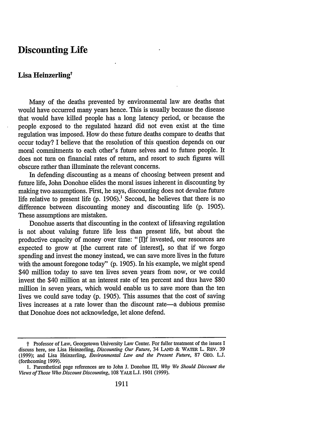## **Discounting Life**

## Lisa Heinzerling<sup>†</sup>

Many of the deaths prevented by environmental law are deaths that would have occurred many years hence. This is usually because the disease that would have killed people has a long latency period, or because the people exposed to the regulated hazard did not even exist at the time regulation was imposed. How do these future deaths compare to deaths that occur today? I believe that the resolution of this question depends on our moral commitments to each other's future selves and to future people. It does not turn on financial rates of return, and resort to such figures will obscure rather than illuminate the relevant concerns.

In defending discounting as a means of choosing between present and future life, John Donohue elides the moral issues inherent in discounting by making two assumptions. First, he says, discounting does not devalue future life relative to present life  $(p. 1906)$ .<sup>1</sup> Second, he believes that there is no difference between discounting money and discounting life (p. 1905). These assumptions are mistaken.

Donohue asserts that discounting in the context of lifesaving regulation is not about valuing future life less than present life, but about the productive capacity of money over time: "Ill invested, our resources are expected to grow at [the current rate of interest], so that if we forgo spending and invest the money instead, we can save more lives in the future with the amount foregone today" (p. 1905). In his example, we might spend \$40 million today to save ten lives seven years from now, or we could invest the \$40 million at an interest rate of ten percent and thus have \$80 million in seven years, which would enable us to save more than the ten lives we could save today (p. 1905). This assumes that the cost of saving lives increases at a rate lower than the discount rate—a dubious premise that Donohue does not acknowledge, let alone defend.

t Professor of Law, Georgetown University Law Center. For fuller treatment of the issues I discuss here, see Lisa Heinzerling, *Discounting Our Future,* 34 LAND & WATER L. REv. 39 (1999); and Lisa Heinzerling, *Environmental Law and the Present Future,* 87 GEO. **L.J.** (forthcoming 1999).

<sup>1.</sup> Parenthetical page references are to John J. Donohue III, *Why We Should Discount the Views of Those Who Discount Discounting,* 108 YALE **L.J.** 1901 (1999).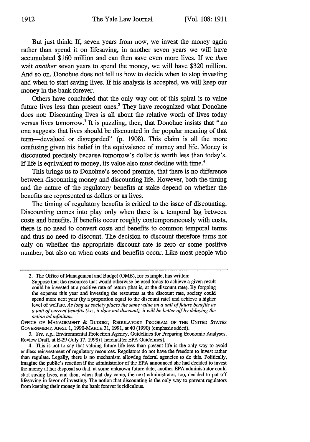But just think: If, seven years from now, we invest the money again rather than spend it on lifesaving, in another seven years we will have accumulated \$160 million and can then save even more lives. If we *then* wait *another* seven years to spend the money, we will have \$320 million. And so on. Donohue does not tell us how to decide when to stop investing and when to start saving lives. If his analysis is accepted, we will keep our money in the bank forever.

Others have concluded that the only way out of this spiral is to value future lives less than present ones.<sup>2</sup> They have recognized what Donohue does not: Discounting lives is all about the relative worth of lives today versus lives tomorrow.<sup>3</sup> It is puzzling, then, that Donohue insists that "no one suggests that lives should be discounted in the popular meaning of that term-devalued or disregarded" (p. 1908). This claim is all the more confusing given his belief in the equivalence of money and life. Money is discounted precisely because tomorrow's dollar is worth less than today's. If life is equivalent to money, its value also must decline with time.<sup>4</sup>

This brings us to Donohue's second premise, that there is no difference between discounting money and discounting life. However, both the timing and the nature of the regulatory benefits at stake depend on whether the benefits are represented as dollars or as lives.

The timing of regulatory benefits is critical to the issue of discounting. Discounting comes into play only when there is a temporal lag between costs and benefits. If benefits occur roughly contemporaneously with costs, there is no need to convert costs and benefits to common temporal terms and thus no need to discount. The decision to discount therefore turns not only on whether the appropriate discount rate is zero or some positive number, but also on when costs and benefits occur. Like most people who

<sup>2.</sup> The Office of Management and Budget (OMB), for example, has written:

Suppose that the resources that would otherwise be used today to achieve a given result could be invested at a positive rate of return (that is, at the discount rate). By forgoing the expense this year and investing the resources at the discount rate, society could spend more next year (by a proportion equal to the discount rate) and achieve a higher level of welfare. *As long as society places the same value on a unit of future benefits as a unit of current benefits (i.e., it does not discount), it will be better off by delaying the action ad infinitum.*

**OFFICE OF MANAGEMENT** & BUDGET, REGULATORY PROGRAM **OF THE** UNITED **STATES** GOVERNMENT, **APRIL** 1, 1990-MARCH 31, 1991, at 40 (1990) (emphasis added).

*<sup>3.</sup> See, e.g.,* Environmental Protection Agency, Guidelines for Preparing Economic Analyses, Review Draft, at E-29 (July 17, 1998) [ hereinafter EPA Guidelines].

<sup>4.</sup> This is not to say that valuing future life less than present life is the only way to avoid endless reinvestment of regulatory resources. Regulators do not have the freedom to invest rather than regulate. Legally, there is no mechanism allowing federal agencies to do this. Politically, imagine the public's reaction if the administrator of the EPA announced she had decided to invest the money at her disposal so that, at some unknown future date, another EPA administrator could start saving lives, and then, when that day came, the next administrator, too, decided to put off lifesaving in favor of investing. The notion that discounting is the only way to prevent regulators from keeping their money in the bank forever is ridiculous.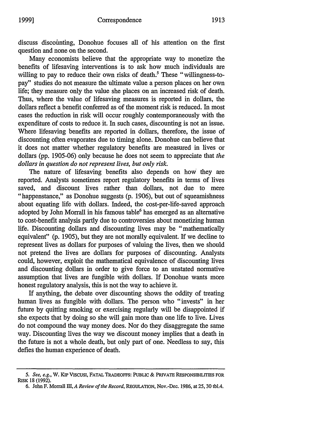Many economists believe that the appropriate way to monetize the benefits of lifesaving interventions is to ask how much individuals are willing to pay to reduce their own risks of death.<sup>5</sup> These "willingness-topay" studies do not measure the ultimate value a person places on her own life; they measure only the value she places on an increased risk of death. Thus, where the value of lifesaving measures is reported in dollars, the dollars reflect a benefit conferred as of the moment risk is reduced. In most cases the reduction in risk will occur roughly contemporaneously with the expenditure of costs to reduce it. In such cases, discounting is not an issue. Where lifesaving benefits are reported in dollars, therefore, the issue of discounting often evaporates due to timing alone. Donohue can believe that it does not matter whether regulatory benefits are measured in lives or dollars (pp. 1905-06) only because he does not seem to appreciate that *the dollars in question do not represent lives, but only risk.*

The nature of lifesaving benefits also depends on how they are reported. Analysts sometimes report regulatory benefits in terms of lives saved, and discount lives rather than dollars, not due to mere "happenstance," as Donohue suggests (p. 1906), but out of squeamishness about equating life with dollars. Indeed, the cost-per-life-saved approach adopted by John Morrall in his famous table<sup>6</sup> has emerged as an alternative to cost-benefit analysis partly due to controversies about monetizing human life. Discounting dollars and discounting lives may be "mathematically equivalent" (p. 1905), but they are not morally equivalent. If we decline to represent lives as dollars for purposes of valuing the lives, then we should not pretend the lives are dollars for purposes of discounting. Analysts could, however, exploit the mathematical equivalence of discounting lives and discounting dollars in order to give force to an unstated normative assumption that lives are fungible with dollars. If Donohue wants more honest regulatory analysis, this is not the way to achieve it.

If anything, the debate over discounting shows the oddity of treating human lives as fungible with dollars. The person who "invests" in her future by quitting smoking or exercising regularly will be disappointed if she expects that by doing so she will gain more than one life to live. Lives do not compound the way money does. Nor do they disaggregate the same way. Discounting lives the way we discount money implies that a death in the future is not a whole death, but only part of one. Needless to say, this defies the human experience of death.

*<sup>5.</sup> See, e.g.,* **W. KIP** ViscusI, **FATAL** TRADEOFFS: **PUBLIC & PRIVATE RESPONSIBILITIES FOR** RISK **18 (1992).**

**<sup>6.</sup>** John **F. Morrall** *H, A Review of the Record,* REGULATION, Nov.-Dec. **1986,** at **25, 30 tbl.4.**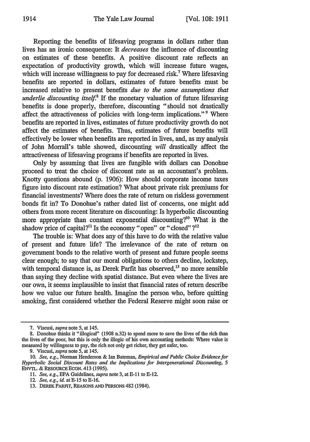Reporting the benefits of lifesaving programs in dollars rather than lives has an ironic consequence: It *decreases* the influence of discounting on estimates of these benefits. A positive discount rate reflects an expectation of productivity growth, which will increase future wages, which will increase willingness to pay for decreased risk.<sup>7</sup> Where lifesaving benefits are reported in dollars, estimates of future benefits must be increased relative to present benefits *due to the same assumptions that underlie discounting itself.*<sup>8</sup> If the monetary valuation of future lifesaving benefits is done properly, therefore, discounting "should not drastically affect the attractiveness of policies with long-term implications."<sup>9</sup> Where benefits are reported in lives, estimates of future productivity growth do not affect the estimates of benefits. Thus, estimates of future benefits will effectively be lower when benefits are reported in lives, and, as my analysis of John Morrall's table showed, discounting *will* drastically affect the attractiveness of lifesaving programs if benefits are reported in lives.

Only by assuming that lives are fungible with dollars can Donohue proceed to treat the choice of discount rate as an accountant's problem. Knotty questions abound (p. 1906): How should corporate income taxes figure into discount rate estimation? What about private risk premiums for financial investments? Where does the rate of return on riskless government bonds fit in? To Donohue's rather dated list of concerns, one might add others from more recent literature on discounting: Is hyperbolic discounting more appropriate than constant exponential discounting?" What is the shadow price of capital?<sup>11</sup> Is the economy "open" or "closed"?<sup>12</sup>

The trouble is: What does any of this have to do with the relative value of present and future life? The irrelevance of the rate of return on government bonds to the relative worth of present and future people seems clear enough; to say that our moral obligations to others decline, lockstep, with temporal distance is, as Derek Parfit has observed,<sup>13</sup> no more sensible than saying they decline with spatial distance. But even where the lives are our own, it seems implausible to insist that financial rates of return describe how we value our future health. Imagine the person who, before quitting smoking, first considered whether the Federal Reserve might soon raise or

<sup>7.</sup> Viscusi, *supra* note **5,** at 145.

<sup>8.</sup> Donohue thinks it "illogical" (1908 n.32) to spend more to save the lives of the rich than the lives of the poor, but this is only the illogic of his own accounting methods: Where value is measured by willingness to pay, the rich not only get richer, they get safer, too.

<sup>9.</sup> Viscusi, *supra* note 5, at 145.

<sup>10.</sup> *See, e.g.,* Norman Henderson & Ian Bateman, *Empirical and Public Choice Evidence for Hyperbolic Social Discount Rates and the Implications for Intergenerational Discounting, 5* ENvrL. & RESOURCE ECON. 413 (1995).

*<sup>11.</sup> See, e.g.,* EPA Guidelines, *supra* note 3, at E-1 **Ito** E-12.

<sup>12.</sup> *See, e.g., id.* at E-15 to E-16.

<sup>13.</sup> DEREK PARFIT, REASONS **AND** PERSONS 482 (1984).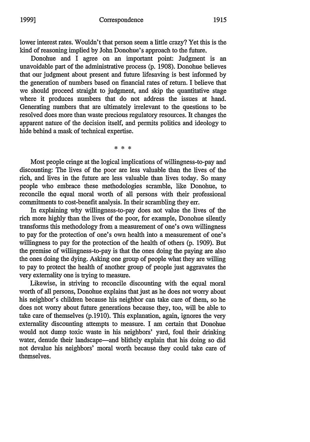lower interest rates. Wouldn't that person seem a little crazy? Yet this is the kind of reasoning implied by John Donohue's approach to the future.

Donohue and I agree on an important point: Judgment is an unavoidable part of the administrative process (p. 1908). Donohue believes that our judgment about present and future lifesaving is best informed by the generation of numbers based on financial rates of return. I believe that we should proceed straight to judgment, and skip the quantitative stage where it produces numbers that do not address the issues at hand. Generating numbers that are ultimately irrelevant to the questions to be resolved does more than waste precious regulatory resources. It changes the apparent nature of the decision itself, and permits politics and ideology to hide behind a mask of technical expertise.

\* \* \*

Most people cringe at the logical implications of willingness-to-pay and discounting: The lives of the poor are less valuable than the lives of the rich, and lives in the future are less valuable than lives today. So many people who embrace these methodologies scramble, like Donohue, to reconcile the equal moral worth of all persons with their professional commitments to cost-benefit analysis. In their scrambling they err.

In explaining why willingness-to-pay does not value the lives of the rich more highly than the lives of the poor, for example, Donohue silently transforms this methodology from a measurement of one's own willingness to pay for the protection of one's own health into a measurement of one's willingness to pay for the protection of the health of others (p. 1909). But the premise of willingness-to-pay is that the ones doing the paying are also the ones doing the dying. Asking one group of people what they are willing to pay to protect the health of another group of people just aggravates the very externality one is trying to measure.

Likewise, in striving to reconcile discounting with the equal moral worth of all persons, Donohue explains that just as he does not worry about his neighbor's children because his neighbor can take care of them, so he does not worry about future generations because they, too, will be able to take care of themselves (p.1910). This explanation, again, ignores the very externality discounting attempts to measure. I am certain that Donohue would not dump toxic waste in his neighbors' yard, foul their drinking water, denude their landscape-and blithely explain that his doing so did not devalue his neighbors' moral worth because they could take care of themselves.